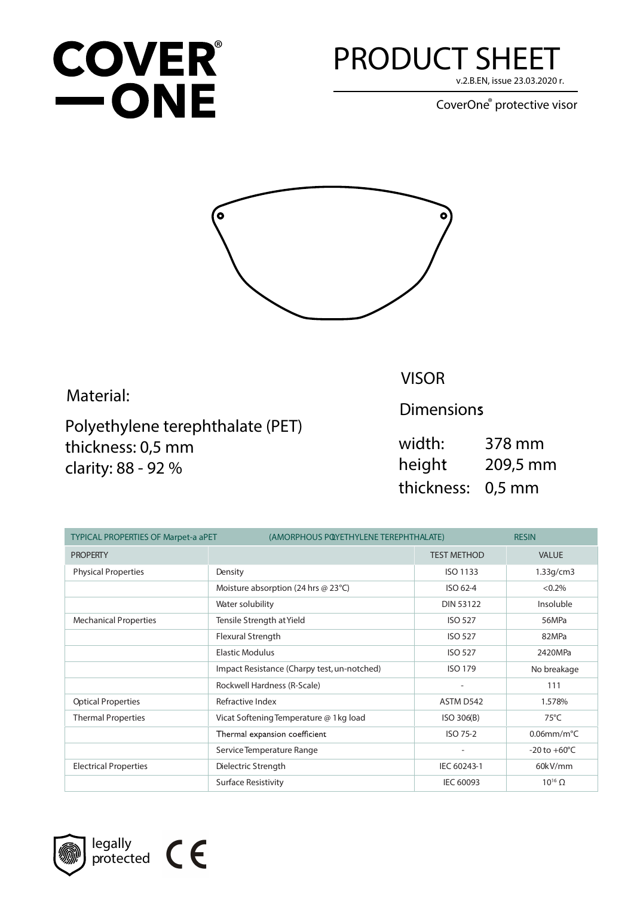## **COVER®**  $\equiv$  ONE

## **PRODUCT SHEET**

v.2.B.EN, issue 23.03.2020 r.

CoverOne<sup>®</sup> protective visor



Material:

Polyethylene terephthalate (PET) thickness: 0,5 mm clarity: 88 - 92 %

**VISOR** 

**Dimensions** 

width: 378 mm height 209,5 mm thickness: 0,5 mm

| <b>TYPICAL PROPERTIES OF Marpet-a aPET</b> |                                             | (AMORPHOUS POYETHYLENE TEREPHTHALATE) |                          |  |
|--------------------------------------------|---------------------------------------------|---------------------------------------|--------------------------|--|
| <b>PROPERTY</b>                            |                                             | <b>TEST METHOD</b>                    | <b>VALUE</b>             |  |
| <b>Physical Properties</b>                 | Density                                     | ISO 1133                              | 1.33q/cm3                |  |
|                                            | Moisture absorption (24 hrs $@$ 23 $°C$ )   | ISO 62-4                              | $< 0.2\%$                |  |
|                                            | Water solubility                            | <b>DIN 53122</b>                      | Insoluble                |  |
| <b>Mechanical Properties</b>               | Tensile Strength at Yield                   | <b>ISO 527</b>                        | 56MPa                    |  |
|                                            | Flexural Strength                           | <b>ISO 527</b>                        | 82MPa                    |  |
|                                            | <b>Elastic Modulus</b>                      | <b>ISO 527</b>                        | 2420MPa                  |  |
|                                            | Impact Resistance (Charpy test, un-notched) | <b>ISO 179</b>                        | No breakage              |  |
|                                            | Rockwell Hardness (R-Scale)                 | ۰                                     | 111                      |  |
| <b>Optical Properties</b>                  | Refractive Index                            | ASTM D542                             | 1.578%                   |  |
| <b>Thermal Properties</b>                  | Vicat Softening Temperature @ 1 kg load     | ISO 306(B)                            | $75^{\circ}$ C           |  |
|                                            | Thermal expansion coefficient               | ISO 75-2                              | $0.06$ mm/m $^{\circ}$ C |  |
|                                            | Service Temperature Range                   |                                       | $-20$ to $+60^{\circ}$ C |  |
| <b>Electrical Properties</b>               | Dielectric Strength                         | IEC 60243-1                           | 60kV/mm                  |  |
|                                            | <b>Surface Resistivity</b>                  | <b>IEC 60093</b>                      | $10^{16}$ $\Omega$       |  |